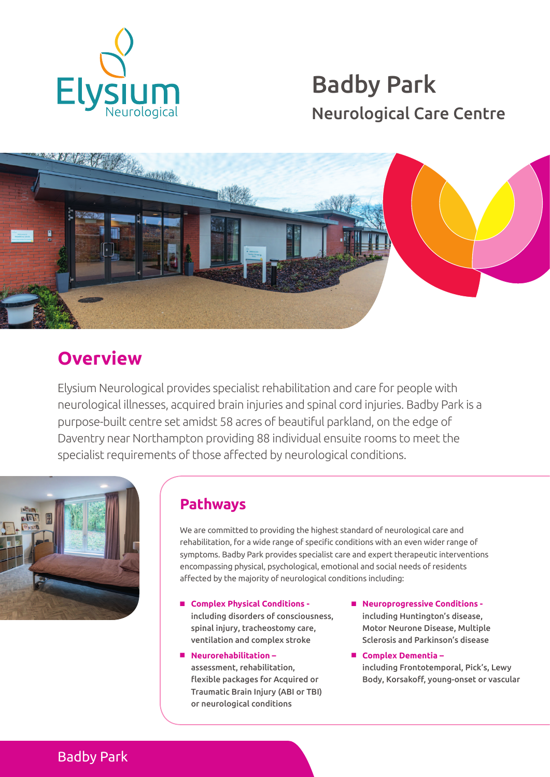

# Badby Park Neurological Care Centre



## **Overview**

Elysium Neurological provides specialist rehabilitation and care for people with neurological illnesses, acquired brain injuries and spinal cord injuries. Badby Park is a purpose-built centre set amidst 58 acres of beautiful parkland, on the edge of Daventry near Northampton providing 88 individual ensuite rooms to meet the specialist requirements of those affected by neurological conditions.



## **Pathways**

We are committed to providing the highest standard of neurological care and rehabilitation, for a wide range of specific conditions with an even wider range of symptoms. Badby Park provides specialist care and expert therapeutic interventions encompassing physical, psychological, emotional and social needs of residents affected by the majority of neurological conditions including:

- **Complex Physical Conditions** including disorders of consciousness, spinal injury, tracheostomy care, ventilation and complex stroke
- n **Neurorehabilitation**  assessment, rehabilitation, flexible packages for Acquired or Traumatic Brain Injury (ABI or TBI) or neurological conditions
- Neuroprogressive Conditions including Huntington's disease, Motor Neurone Disease, Multiple Sclerosis and Parkinson's disease
- Complex Dementia including Frontotemporal, Pick's, Lewy Body, Korsakoff, young-onset or vascular